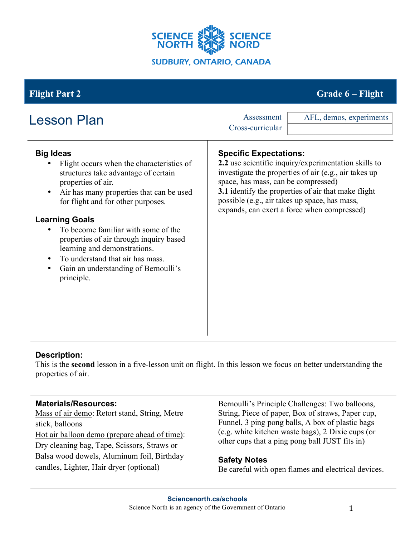

# **Flight Part 2 Grade 6 – Flight**

| <b>Lesson Plan</b>                                                                                                                                                                                                                                                                                                                                                                                                                                      | Assessment<br>AFL, demos, experiments<br>Cross-curricular                                                                                                                                                                                                                                                                                    |
|---------------------------------------------------------------------------------------------------------------------------------------------------------------------------------------------------------------------------------------------------------------------------------------------------------------------------------------------------------------------------------------------------------------------------------------------------------|----------------------------------------------------------------------------------------------------------------------------------------------------------------------------------------------------------------------------------------------------------------------------------------------------------------------------------------------|
| <b>Big Ideas</b><br>Flight occurs when the characteristics of<br>structures take advantage of certain<br>properties of air.<br>Air has many properties that can be used<br>for flight and for other purposes.<br><b>Learning Goals</b><br>To become familiar with some of the<br>properties of air through inquiry based<br>learning and demonstrations.<br>To understand that air has mass.<br>Gain an understanding of Bernoulli's<br>٠<br>principle. | <b>Specific Expectations:</b><br>2.2 use scientific inquiry/experimentation skills to<br>investigate the properties of air (e.g., air takes up<br>space, has mass, can be compressed)<br>3.1 identify the properties of air that make flight<br>possible (e.g., air takes up space, has mass,<br>expands, can exert a force when compressed) |

### **Description:**

This is the **second** lesson in a five-lesson unit on flight. In this lesson we focus on better understanding the properties of air.

### **Materials/Resources:**

Mass of air demo: Retort stand, String, Metre stick, balloons Hot air balloon demo (prepare ahead of time): Dry cleaning bag, Tape, Scissors, Straws or Balsa wood dowels, Aluminum foil, Birthday candles, Lighter, Hair dryer (optional)

Bernoulli's Principle Challenges: Two balloons, String, Piece of paper, Box of straws, Paper cup, Funnel, 3 ping pong balls, A box of plastic bags (e.g. white kitchen waste bags), 2 Dixie cups (or other cups that a ping pong ball JUST fits in)

### **Safety Notes**

Be careful with open flames and electrical devices.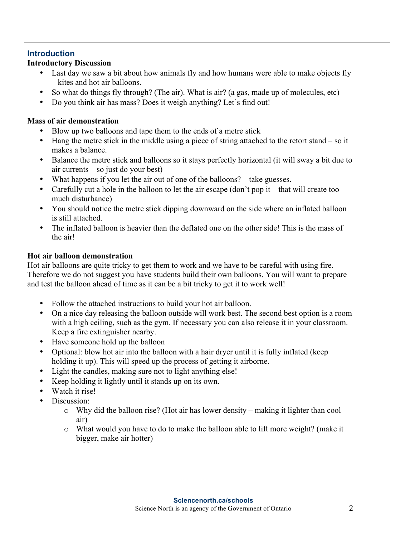#### **Introduction**

#### **Introductory Discussion**

- Last day we saw a bit about how animals fly and how humans were able to make objects fly – kites and hot air balloons.
- So what do things fly through? (The air). What is air? (a gas, made up of molecules, etc)
- Do you think air has mass? Does it weigh anything? Let's find out!

#### **Mass of air demonstration**

- Blow up two balloons and tape them to the ends of a metre stick
- Hang the metre stick in the middle using a piece of string attached to the retort stand so it makes a balance.
- Balance the metre stick and balloons so it stays perfectly horizontal (it will sway a bit due to air currents – so just do your best)
- What happens if you let the air out of one of the balloons? take guesses.
- Carefully cut a hole in the balloon to let the air escape (don't pop it that will create too much disturbance)
- You should notice the metre stick dipping downward on the side where an inflated balloon is still attached.
- The inflated balloon is heavier than the deflated one on the other side! This is the mass of the air!

#### **Hot air balloon demonstration**

Hot air balloons are quite tricky to get them to work and we have to be careful with using fire. Therefore we do not suggest you have students build their own balloons. You will want to prepare and test the balloon ahead of time as it can be a bit tricky to get it to work well!

- Follow the attached instructions to build your hot air balloon.
- On a nice day releasing the balloon outside will work best. The second best option is a room with a high ceiling, such as the gym. If necessary you can also release it in your classroom. Keep a fire extinguisher nearby.
- Have someone hold up the balloon
- Optional: blow hot air into the balloon with a hair dryer until it is fully inflated (keep holding it up). This will speed up the process of getting it airborne.
- Light the candles, making sure not to light anything else!
- Keep holding it lightly until it stands up on its own.
- Watch it rise!
- Discussion<sup>-</sup>
	- o Why did the balloon rise? (Hot air has lower density making it lighter than cool air)
	- o What would you have to do to make the balloon able to lift more weight? (make it bigger, make air hotter)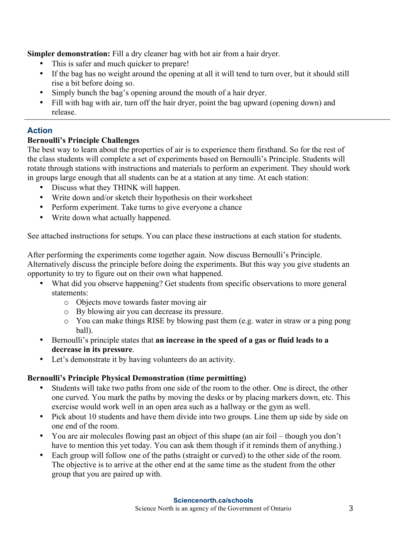**Simpler demonstration:** Fill a dry cleaner bag with hot air from a hair dryer.

- This is safer and much quicker to prepare!
- If the bag has no weight around the opening at all it will tend to turn over, but it should still rise a bit before doing so.
- Simply bunch the bag's opening around the mouth of a hair dryer.
- Fill with bag with air, turn off the hair dryer, point the bag upward (opening down) and release.

# **Action**

## **Bernoulli's Principle Challenges**

The best way to learn about the properties of air is to experience them firsthand. So for the rest of the class students will complete a set of experiments based on Bernoulli's Principle. Students will rotate through stations with instructions and materials to perform an experiment. They should work in groups large enough that all students can be at a station at any time. At each station:

- Discuss what they THINK will happen.
- Write down and/or sketch their hypothesis on their worksheet
- Perform experiment. Take turns to give everyone a chance
- Write down what actually happened.

See attached instructions for setups. You can place these instructions at each station for students.

After performing the experiments come together again. Now discuss Bernoulli's Principle. Alternatively discuss the principle before doing the experiments. But this way you give students an opportunity to try to figure out on their own what happened.

- What did you observe happening? Get students from specific observations to more general statements:
	- o Objects move towards faster moving air
	- o By blowing air you can decrease its pressure.
	- o You can make things RISE by blowing past them (e.g. water in straw or a ping pong ball).
- Bernoulli's principle states that **an increase in the speed of a gas or fluid leads to a decrease in its pressure**.
- Let's demonstrate it by having volunteers do an activity.

### **Bernoulli's Principle Physical Demonstration (time permitting)**

- Students will take two paths from one side of the room to the other. One is direct, the other one curved. You mark the paths by moving the desks or by placing markers down, etc. This exercise would work well in an open area such as a hallway or the gym as well.
- Pick about 10 students and have them divide into two groups. Line them up side by side on one end of the room.
- You are air molecules flowing past an object of this shape (an air foil though you don't have to mention this yet today. You can ask them though if it reminds them of anything.)
- Each group will follow one of the paths (straight or curved) to the other side of the room. The objective is to arrive at the other end at the same time as the student from the other group that you are paired up with.